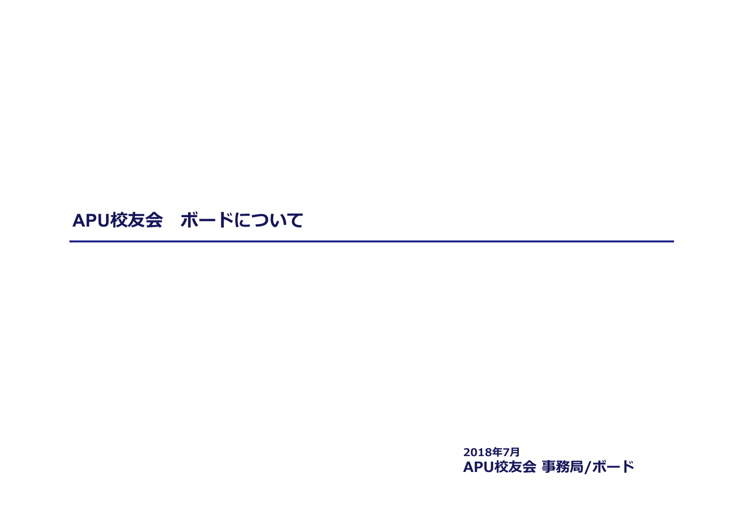# **APU校友会 ボードについて**

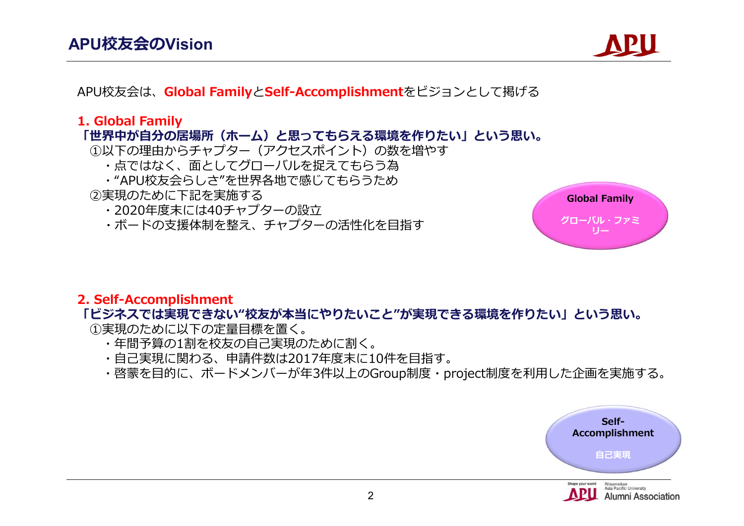

APU校友会は、**Global Family**と**Self-Accomplishment**をビジョンとして掲げる

#### **1. Global Family**

#### **「世界中が自分の居場所(ホーム)と思ってもらえる環境を作りたい」という思い。**

- ①以下の理由からチャプター(アクセスポイント)の数を増やす
	- ・点ではなく、面としてグローバルを捉えてもらう為
	- ・"APU校友会らしさ"を世界各地で感じてもらうため

#### ②実現のために下記を実施する

- ・2020年度末には40チャプターの設立
- ・ボードの支援体制を整え、チャプターの活性化を目指す



#### **2. Self-Accomplishment**

#### **「ビジネスでは実現できない"校友が本当にやりたいこと"が実現できる環境を作りたい」という思い。**

①実現のために以下の定量目標を置く。

- ・年間予算の1割を校友の自己実現のために割く。
- ・自己実現に関わる、申請件数は2017年度末に10件を目指す。
- ・啓蒙を目的に、ボードメンバーが年3件以上のGroup制度・project制度を利用した企画を実施する。



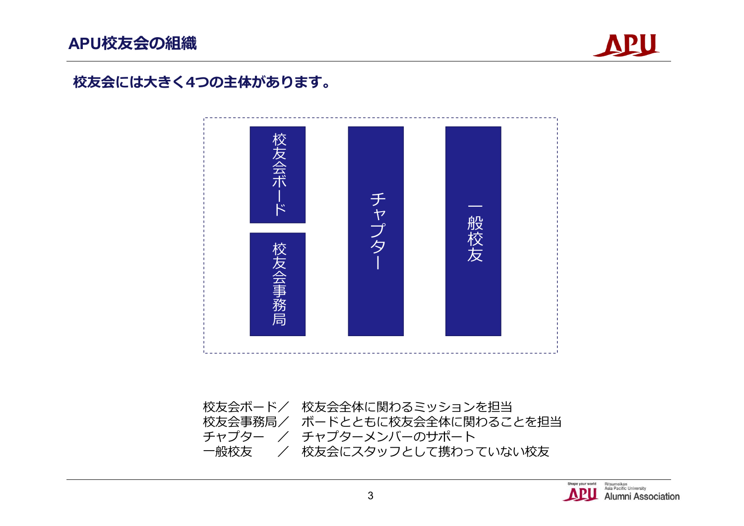

### **校友会には大きく4つの主体があります。**



校友会ボード/ 校友会全体に関わるミッションを担当 校友会事務局/ ボードとともに校友会全体に関わることを担当 *チャプター / チャプターメ*ンバーのサポート<br>一般校友 / 校友会にスタッフとして携わっ / 校友会にスタッフとして携わっていない校友

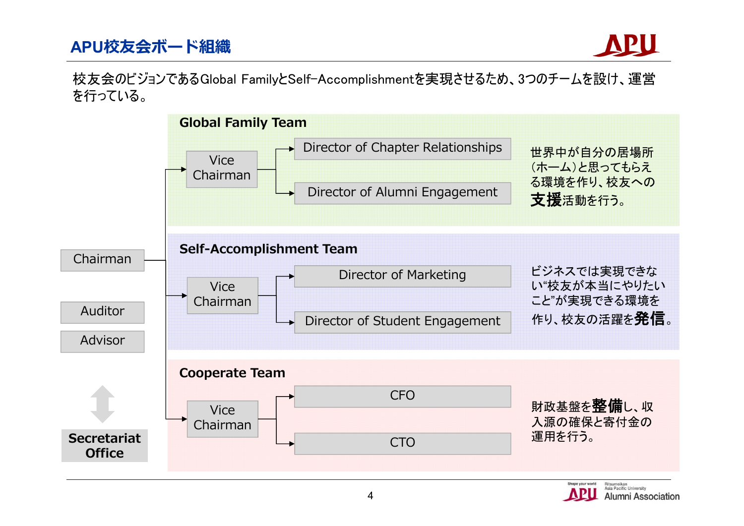## **APU校友会ボード組織**

校友会のビジョンであるGlobal FamilyとSelf-Accomplishmentを実現させるため、3つのチームを設け、運営 を行っている。

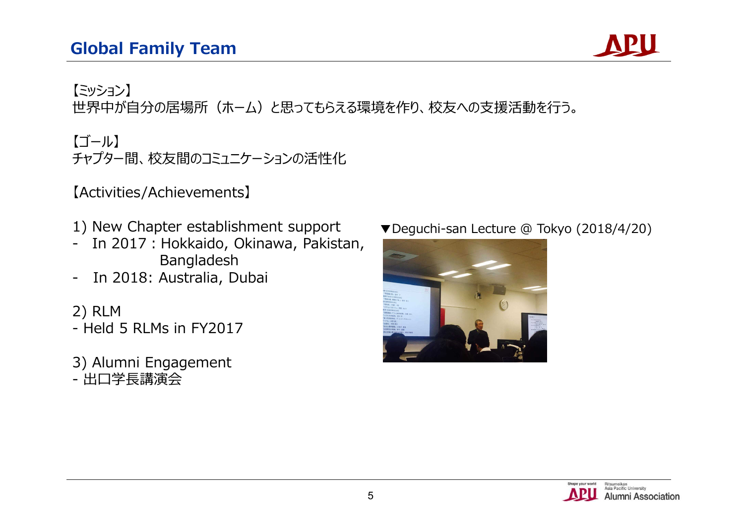

【ミッション】 世界中が自分の居場所(ホーム)と思ってもらえる環境を作り、校友への支援活動を行う。

【ゴール】 チャプター間、校友間のコミュニケーションの活性化

【Activities/Achievements】

- 1) New Chapter establishment support
- In 2017 : Hokkaido, Okinawa, Pakistan, Bangladesh
- In 2018: Australia, Dubai

2) RLM - Held 5 RLMs in FY2017

3) Alumni Engagement - 出口学長講演会

▼Deguchi-san Lecture @ Tokyo (2018/4/20)



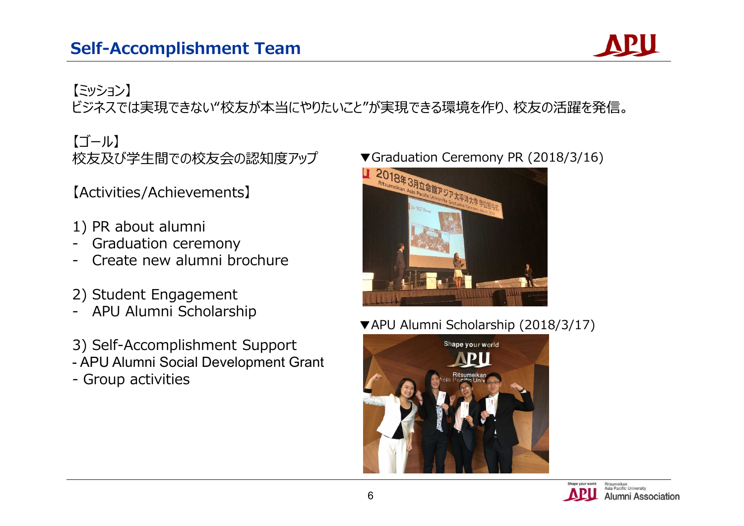

# 【ミッション】

ビジネスでは実現できない"校友が本当にやりたいこと"が実現できる環境を作り、校友の活躍を発信。

【ゴール】 校友及び学生間での校友会の認知度アップ

【Activities/Achievements】

- 1) PR about alumni
- Graduation ceremony
- Create new alumni brochure
- 2) Student Engagement
- APU Alumni Scholarship
- 3) Self-Accomplishment Support
- APU Alumni Social Development Grant
- Group activities



▼APU Alumni Scholarship (2018/3/17)



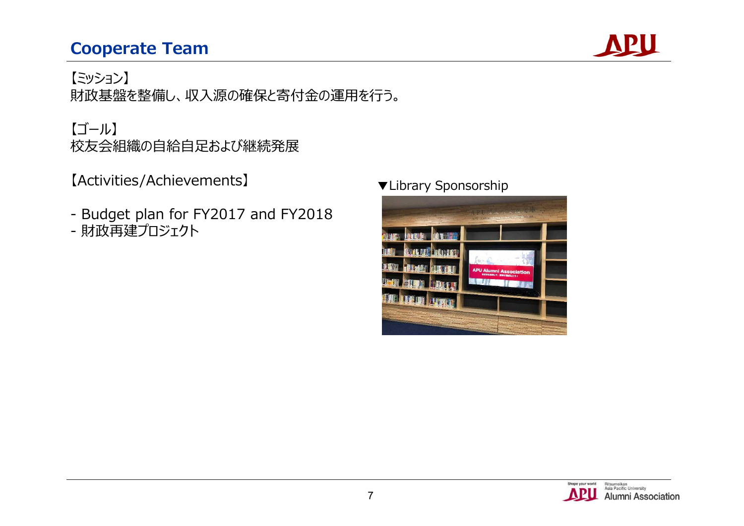# **Cooperate Team**



【ミッション】 財政基盤を整備し、収入源の確保と寄付金の運用を行う。

### 【ゴール】 校友会組織の自給自足および継続発展

【Activities/Achievements】

- Budget plan for FY2017 and FY2018
- 財政再建プロジェクト

### ▼Library Sponsorship



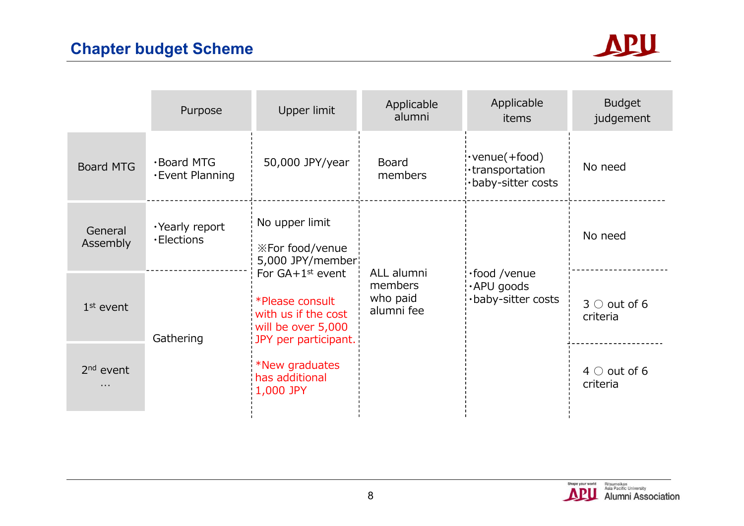

|                            | Purpose                             | Upper limit                                                                                                                                                                                                                    | Applicable<br>alumni                            | Applicable<br>items                                            | <b>Budget</b><br>judgement     |
|----------------------------|-------------------------------------|--------------------------------------------------------------------------------------------------------------------------------------------------------------------------------------------------------------------------------|-------------------------------------------------|----------------------------------------------------------------|--------------------------------|
| <b>Board MTG</b>           | ·Board MTG<br><b>Event Planning</b> | 50,000 JPY/year                                                                                                                                                                                                                | <b>Board</b><br>members                         | $\cdot$ venue(+food)<br>·transportation<br>·baby-sitter costs  | No need                        |
| General<br>Assembly        | ·Yearly report<br><b>·Elections</b> | No upper limit<br><b>※For food/venue</b><br>5,000 JPY/member<br>For $GA+1^{st}$ event<br>*Please consult<br>with us if the cost<br>will be over 5,000<br>JPY per participant.<br>*New graduates<br>has additional<br>1,000 JPY | ALL alumni<br>members<br>who paid<br>alumni fee | $\cdot$ food /venue<br>$\cdot$ APU goods<br>·baby-sitter costs | No need                        |
| $1st$ event                | Gathering                           |                                                                                                                                                                                                                                |                                                 |                                                                | $3 \circ$ out of 6<br>criteria |
| 2 <sup>nd</sup> event<br>. |                                     |                                                                                                                                                                                                                                |                                                 |                                                                | $4 \circ$ out of 6<br>criteria |